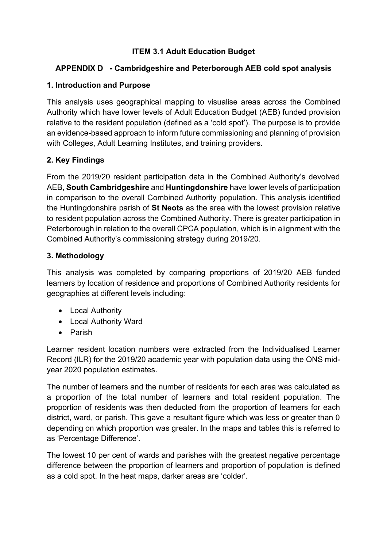# **ITEM 3.1 Adult Education Budget**

# **APPENDIX D - Cambridgeshire and Peterborough AEB cold spot analysis**

# **1. Introduction and Purpose**

This analysis uses geographical mapping to visualise areas across the Combined Authority which have lower levels of Adult Education Budget (AEB) funded provision relative to the resident population (defined as a 'cold spot'). The purpose is to provide an evidence-based approach to inform future commissioning and planning of provision with Colleges, Adult Learning Institutes, and training providers.

# **2. Key Findings**

From the 2019/20 resident participation data in the Combined Authority's devolved AEB, **South Cambridgeshire** and **Huntingdonshire** have lower levels of participation in comparison to the overall Combined Authority population. This analysis identified the Huntingdonshire parish of **St Neots** as the area with the lowest provision relative to resident population across the Combined Authority. There is greater participation in Peterborough in relation to the overall CPCA population, which is in alignment with the Combined Authority's commissioning strategy during 2019/20.

### **3. Methodology**

This analysis was completed by comparing proportions of 2019/20 AEB funded learners by location of residence and proportions of Combined Authority residents for geographies at different levels including:

- Local Authority
- Local Authority Ward
- Parish

Learner resident location numbers were extracted from the Individualised Learner Record (ILR) for the 2019/20 academic year with population data using the ONS midyear 2020 population estimates.

The number of learners and the number of residents for each area was calculated as a proportion of the total number of learners and total resident population. The proportion of residents was then deducted from the proportion of learners for each district, ward, or parish. This gave a resultant figure which was less or greater than 0 depending on which proportion was greater. In the maps and tables this is referred to as 'Percentage Difference'.

The lowest 10 per cent of wards and parishes with the greatest negative percentage difference between the proportion of learners and proportion of population is defined as a cold spot. In the heat maps, darker areas are 'colder'.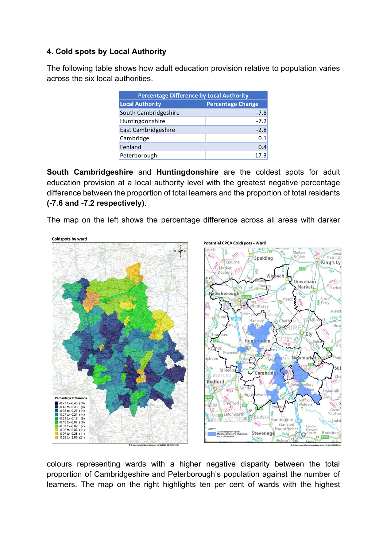### **4. Cold spots by Local Authority**

The following table shows how adult education provision relative to population varies across the six local authorities.

| <b>Percentage Difference by Local Authority</b> |                          |  |
|-------------------------------------------------|--------------------------|--|
| <b>Local Authority</b>                          | <b>Percentage Change</b> |  |
| South Cambridgeshire                            | $-7.6$                   |  |
| Huntingdonshire                                 | $-7.2$                   |  |
| East Cambridgeshire                             | $-2.8$                   |  |
| Cambridge                                       | 0.1                      |  |
| Fenland                                         | 0.4                      |  |
| Peterborough                                    | 17.3                     |  |

**South Cambridgeshire** and **Huntingdonshire** are the coldest spots for adult education provision at a local authority level with the greatest negative percentage difference between the proportion of total learners and the proportion of total residents **(-7.6 and -7.2 respectively)**.

The map on the left shows the percentage difference across all areas with darker



colours representing wards with a higher negative disparity between the total proportion of Cambridgeshire and Peterborough's population against the number of learners. The map on the right highlights ten per cent of wards with the highest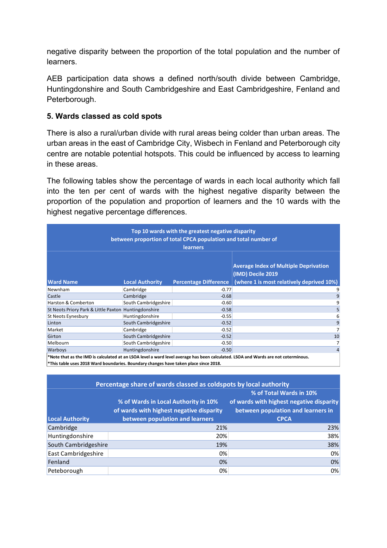negative disparity between the proportion of the total population and the number of learners.

AEB participation data shows a defined north/south divide between Cambridge, Huntingdonshire and South Cambridgeshire and East Cambridgeshire, Fenland and Peterborough.

#### **5. Wards classed as cold spots**

There is also a rural/urban divide with rural areas being colder than urban areas. The urban areas in the east of Cambridge City, Wisbech in Fenland and Peterborough city centre are notable potential hotspots. This could be influenced by access to learning in these areas.

The following tables show the percentage of wards in each local authority which fall into the ten per cent of wards with the highest negative disparity between the proportion of the population and proportion of learners and the 10 wards with the highest negative percentage differences.

| Top 10 wards with the greatest negative disparity<br>between proportion of total CPCA population and total number of<br><b>learners</b> |                        |                              |                                                                                                                                    |  |  |
|-----------------------------------------------------------------------------------------------------------------------------------------|------------------------|------------------------------|------------------------------------------------------------------------------------------------------------------------------------|--|--|
| <b>Ward Name</b>                                                                                                                        | <b>Local Authority</b> | <b>Percentage Difference</b> | <b>Average Index of Multiple Deprivation</b><br>(IMD) Decile 2019<br>(where 1 is most relatively deprived 10%)                     |  |  |
| Newnham                                                                                                                                 | Cambridge              | $-0.77$                      | 9                                                                                                                                  |  |  |
| Castle                                                                                                                                  | Cambridge              | $-0.68$                      | 9                                                                                                                                  |  |  |
| <b>Harston &amp; Comberton</b>                                                                                                          | South Cambridgeshire   | $-0.60$                      | 9                                                                                                                                  |  |  |
| St Neots Priory Park & Little Paxton Huntingdonshire                                                                                    |                        | $-0.58$                      | 5                                                                                                                                  |  |  |
| St Neots Eynesbury                                                                                                                      | Huntingdonshire        | $-0.55$                      | 6                                                                                                                                  |  |  |
| Linton                                                                                                                                  | South Cambridgeshire   | $-0.52$                      | 9                                                                                                                                  |  |  |
| Market                                                                                                                                  | Cambridge              | $-0.52$                      | 7                                                                                                                                  |  |  |
| Girton                                                                                                                                  | South Cambridgeshire   | $-0.52$                      | 10                                                                                                                                 |  |  |
| Melbourn                                                                                                                                | South Cambridgeshire   | $-0.50$                      | 7                                                                                                                                  |  |  |
| <b>Warboys</b>                                                                                                                          | Huntingdonshire        | $-0.50$                      | $\overline{4}$                                                                                                                     |  |  |
| *This table uses 2018 Ward boundaries. Boundary changes have taken place since 2018.                                                    |                        |                              | *Note that as the IMD is calculated at an LSOA level a ward level average has been calculated. LSOA and Wards are not coterminous. |  |  |

| Percentage share of wards classed as coldspots by local authority |                                          |                                          |  |  |
|-------------------------------------------------------------------|------------------------------------------|------------------------------------------|--|--|
|                                                                   | % of Total Wards in 10%                  |                                          |  |  |
|                                                                   | % of Wards in Local Authority in 10%     | of wards with highest negative disparity |  |  |
|                                                                   | of wards with highest negative disparity | between population and learners in       |  |  |
| <b>Local Authority</b>                                            | between population and learners          | <b>CPCA</b>                              |  |  |
| Cambridge                                                         | 21%                                      | 23%                                      |  |  |
| Huntingdonshire                                                   | 20%                                      | 38%                                      |  |  |
| South Cambridgeshire                                              | 19%                                      | 38%                                      |  |  |
| East Cambridgeshire                                               | 0%                                       | 0%                                       |  |  |
| Fenland                                                           | 0%                                       | 0%                                       |  |  |
| Peteborough                                                       | 0%                                       | 0%                                       |  |  |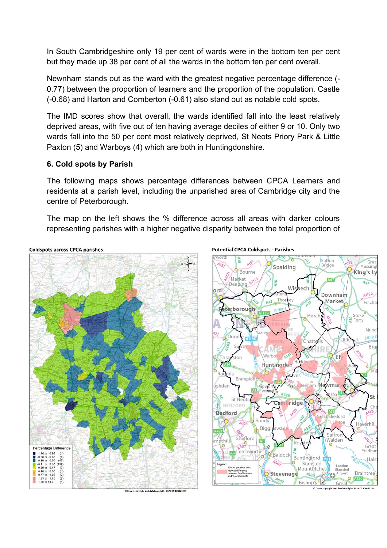In South Cambridgeshire only 19 per cent of wards were in the bottom ten per cent but they made up 38 per cent of all the wards in the bottom ten per cent overall.

Newnham stands out as the ward with the greatest negative percentage difference (- 0.77) between the proportion of learners and the proportion of the population. Castle (-0.68) and Harton and Comberton (-0.61) also stand out as notable cold spots.

The IMD scores show that overall, the wards identified fall into the least relatively deprived areas, with five out of ten having average deciles of either 9 or 10. Only two wards fall into the 50 per cent most relatively deprived, St Neots Priory Park & Little Paxton (5) and Warboys (4) which are both in Huntingdonshire.

#### **6. Cold spots by Parish**

The following maps shows percentage differences between CPCA Learners and residents at a parish level, including the unparished area of Cambridge city and the centre of Peterborough.

The map on the left shows the % difference across all areas with darker colours representing parishes with a higher negative disparity between the total proportion of



**Potential CPCA Coldspots - Parishes** 

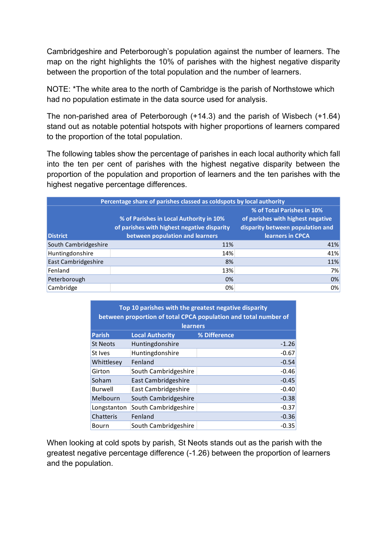Cambridgeshire and Peterborough's population against the number of learners. The map on the right highlights the 10% of parishes with the highest negative disparity between the proportion of the total population and the number of learners.

NOTE: \*The white area to the north of Cambridge is the parish of Northstowe which had no population estimate in the data source used for analysis.

The non-parished area of Peterborough (+14.3) and the parish of Wisbech (+1.64) stand out as notable potential hotspots with higher proportions of learners compared to the proportion of the total population.

The following tables show the percentage of parishes in each local authority which fall into the ten per cent of parishes with the highest negative disparity between the proportion of the population and proportion of learners and the ten parishes with the highest negative percentage differences.

| Percentage share of parishes classed as coldspots by local authority |                                             |                                   |  |  |
|----------------------------------------------------------------------|---------------------------------------------|-----------------------------------|--|--|
|                                                                      |                                             | % of Total Parishes in 10%        |  |  |
|                                                                      | % of Parishes in Local Authority in 10%     | of parishes with highest negative |  |  |
|                                                                      | of parishes with highest negative disparity | disparity between population and  |  |  |
| <b>District</b>                                                      | between population and learners             | learners in CPCA                  |  |  |
| South Cambridgeshire                                                 | 11%                                         | 41%                               |  |  |
| Huntingdonshire                                                      | 14%                                         | 41%                               |  |  |
| East Cambridgeshire                                                  | 8%                                          | 11%                               |  |  |
| Fenland                                                              | 13%                                         | 7%                                |  |  |
| Peterborough                                                         | 0%                                          | 0%                                |  |  |
| Cambridge                                                            | 0%                                          | 0%                                |  |  |

| Top 10 parishes with the greatest negative disparity<br>between proportion of total CPCA population and total number of<br><b>learners</b> |                        |              |  |  |
|--------------------------------------------------------------------------------------------------------------------------------------------|------------------------|--------------|--|--|
| <b>Parish</b>                                                                                                                              | <b>Local Authority</b> | % Difference |  |  |
| <b>St Neots</b>                                                                                                                            | Huntingdonshire        | $-1.26$      |  |  |
| St Ives                                                                                                                                    | Huntingdonshire        | $-0.67$      |  |  |
| Whittlesey                                                                                                                                 | Fenland                | $-0.54$      |  |  |
| Girton                                                                                                                                     | South Cambridgeshire   | $-0.46$      |  |  |
| Soham                                                                                                                                      | East Cambridgeshire    | $-0.45$      |  |  |
| Burwell                                                                                                                                    | East Cambridgeshire    | $-0.40$      |  |  |
| Melbourn                                                                                                                                   | South Cambridgeshire   | $-0.38$      |  |  |
| Longstanton                                                                                                                                | South Cambridgeshire   | $-0.37$      |  |  |
| Chatteris                                                                                                                                  | Fenland                | $-0.36$      |  |  |
| Bourn                                                                                                                                      | South Cambridgeshire   | $-0.35$      |  |  |

When looking at cold spots by parish, St Neots stands out as the parish with the greatest negative percentage difference (-1.26) between the proportion of learners and the population.